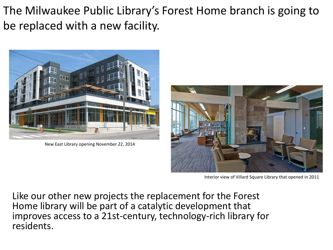The Milwaukee Public Library's Forest Home branch is going to be replaced with a new facility.



New East Library opening November 22, 2014



Interior view of Villard Square Library that opened in 2011

Like our other new projects the replacement for the Forest Home library will be part of a catalytic development that improves access to a 21st-century, technology-rich library for residents.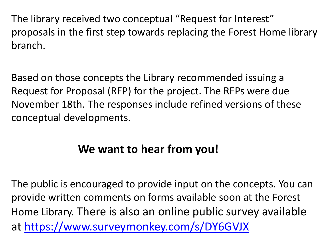The library received two conceptual "Request for Interest" proposals in the first step towards replacing the Forest Home library branch.

Based on those concepts the Library recommended issuing a Request for Proposal (RFP) for the project. The RFPs were due November 18th. The responses include refined versions of these conceptual developments.

## **We want to hear from you!**

The public is encouraged to provide input on the concepts. You can provide written comments on forms available soon at the Forest Home Library. There is also an online public survey available at<https://www.surveymonkey.com/s/DY6GVJX>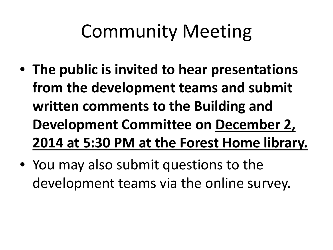# Community Meeting

- **The public is invited to hear presentations from the development teams and submit written comments to the Building and Development Committee on December 2, 2014 at 5:30 PM at the Forest Home library.**
- You may also submit questions to the development teams via the online survey.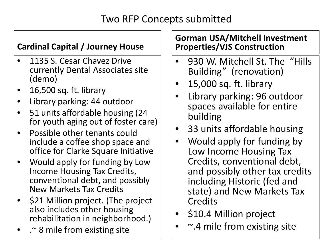#### Two RFP Concepts submitted

#### **Cardinal Capital / Journey House**

- 1135 S. Cesar Chavez Drive currently Dental Associates site (demo)
- 16,500 sq. ft. library
- Library parking: 44 outdoor
- 51 units affordable housing (24 for youth aging out of foster care)
- Possible other tenants could include a coffee shop space and office for Clarke Square Initiative
- Would apply for funding by Low Income Housing Tax Credits, conventional debt, and possibly New Markets Tax Credits
- \$21 Million project. (The project also includes other housing rehabilitation in neighborhood.)
- .~ 8 mile from existing site

#### **Gorman USA/Mitchell Investment Properties/VJS Construction**

- 930 W. Mitchell St. The "Hills" Building" (renovation)
- 15,000 sq. ft. library
- Library parking: 96 outdoor spaces available for entire building
- 33 units affordable housing
- Would apply for funding by Low Income Housing Tax Credits, conventional debt, and possibly other tax credits including Historic (fed and state) and New Markets Tax **Credits**
- \$10.4 Million project
- $\sim$ .4 mile from existing site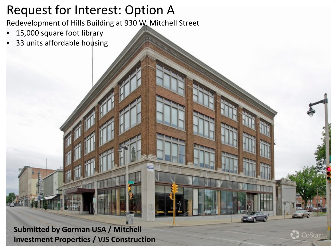# Request for Interest: Option A

Redevelopment of Hills Building at 930 W. Mitchell Street

- 15,000 square foot library
- 33 units affordable housing

**Submitted by Gorman USA / Mitchell Investment Properties / VJS Construction** 

CoStar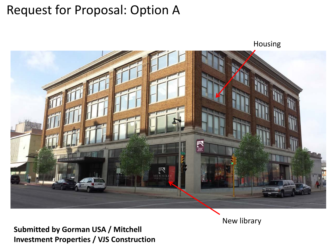# Request for Proposal: Option A

Housing



**Submitted by Gorman USA / Mitchell Investment Properties / VJS Construction**  New library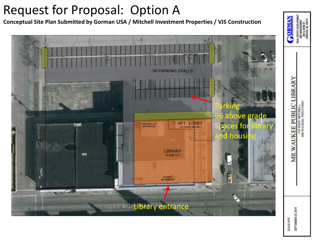# Request for Proposal: Option A

**Conceptual Site Plan Submitted by Gorman USA / Mitchell Investment Properties / VJS Construction** 



SEPTEMBER 25, 2014 SCALE NTS

**MILWAUKEE PUBLIC LIBRARY** 

910 WEST MITCHELL<br>MILWAUKEE, WISCONSIN

REAL ESTATE DEVELO<br>AND MANAGEME<br>200 N. MAIN ST<br>OREGON, WI 535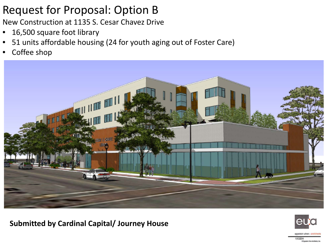### Request for Proposal: Option B

New Construction at 1135 S. Cesar Chavez Drive

- 16,500 square foot library
- 51 units affordable housing (24 for youth aging out of Foster Care)
- Coffee shop



**Submitted by Cardinal Capital/ Journey House** 



D Fondrig Libra Architects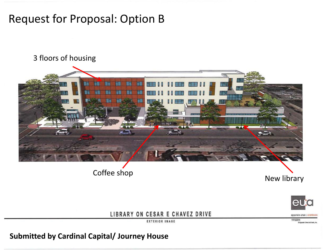### Request for Proposal: Option B

#### 3 floors of housing





LIBRARY ON CESAR E CHAVEZ DRIVE

**EXTERIOR IMAGE** 

**Submitted by Cardinal Capital/ Journey House** 

eppstein uhen : orchitects 11/12/2014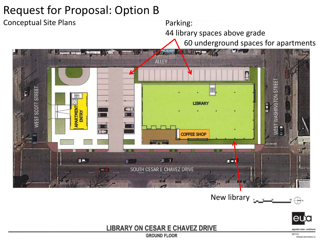### Request for Proposal: Option B



New library  $\bigoplus$ 



**LIBRARY ON CESAR E CHAVEZ DRIVE** 

**GROUND FLOOR** 

epostein uhen : grchitect 09/17/14

O Frenchin Uhen Architects, Inc.